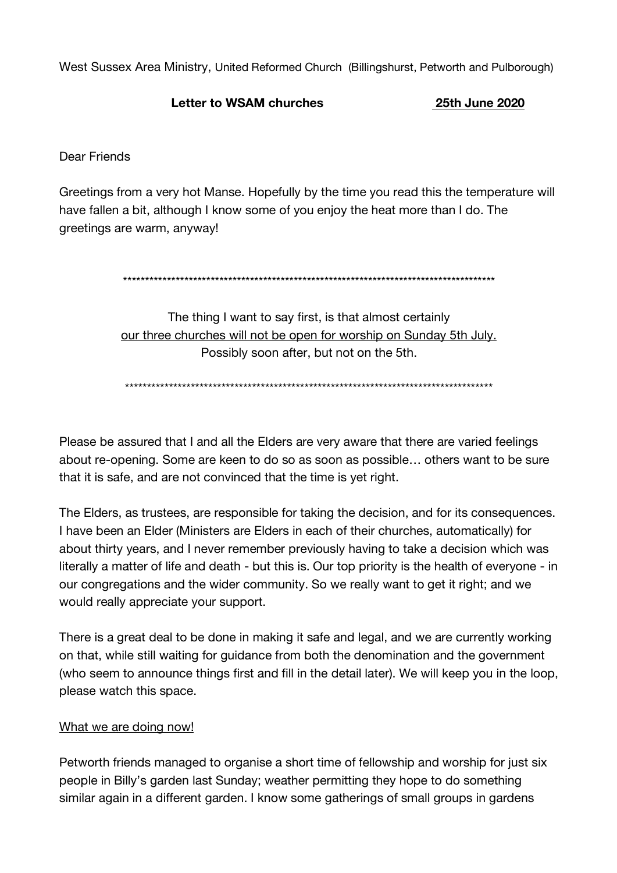West Sussex Area Ministry, United Reformed Church (Billingshurst, Petworth and Pulborough)

## Letter to WSAM churches

25th June 2020

Dear Friends

Greetings from a very hot Manse. Hopefully by the time you read this the temperature will have fallen a bit, although I know some of you enjoy the heat more than I do. The greetings are warm, anyway!

The thing I want to say first, is that almost certainly our three churches will not be open for worship on Sunday 5th July. Possibly soon after, but not on the 5th.

Please be assured that I and all the Elders are very aware that there are varied feelings about re-opening. Some are keen to do so as soon as possible... others want to be sure that it is safe, and are not convinced that the time is yet right.

The Elders, as trustees, are responsible for taking the decision, and for its consequences. I have been an Elder (Ministers are Elders in each of their churches, automatically) for about thirty years, and I never remember previously having to take a decision which was literally a matter of life and death - but this is. Our top priority is the health of everyone - in our congregations and the wider community. So we really want to get it right; and we would really appreciate your support.

There is a great deal to be done in making it safe and legal, and we are currently working on that, while still waiting for guidance from both the denomination and the government (who seem to announce things first and fill in the detail later). We will keep you in the loop, please watch this space.

#### What we are doing now!

Petworth friends managed to organise a short time of fellowship and worship for just six people in Billy's garden last Sunday; weather permitting they hope to do something similar again in a different garden. I know some gatherings of small groups in gardens